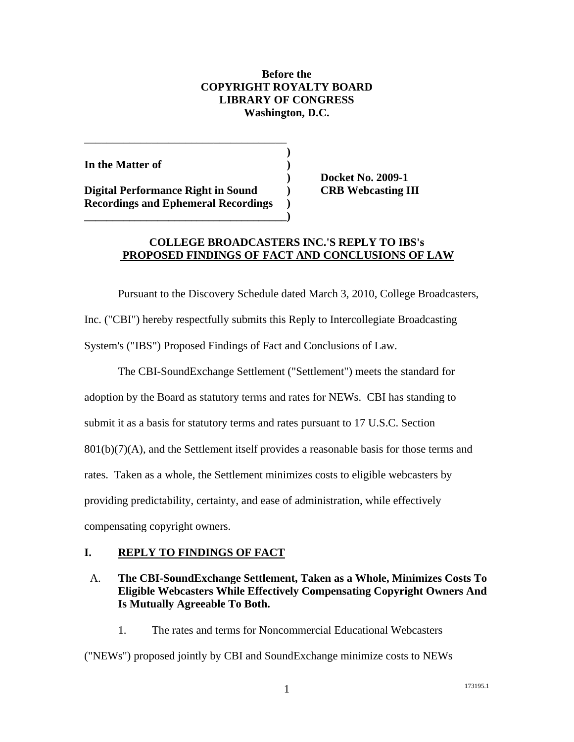### **Before the COPYRIGHT ROYALTY BOARD LIBRARY OF CONGRESS Washington, D.C.**

| In the Matter of                           |  |
|--------------------------------------------|--|
|                                            |  |
| Digital Performance Right in Sound         |  |
| <b>Recordings and Ephemeral Recordings</b> |  |

**\_\_\_\_\_\_\_\_\_\_\_\_\_\_\_\_\_\_\_\_\_\_\_\_\_\_\_\_\_\_\_\_\_\_\_\_)**

\_\_\_\_\_\_\_\_\_\_\_\_\_\_\_\_\_\_\_\_\_\_\_\_\_\_\_\_\_\_\_\_\_\_\_\_

**) Docket No. 2009-1 Digital Performance CRB Webcasting III** 

# **COLLEGE BROADCASTERS INC.'S REPLY TO IBS's PROPOSED FINDINGS OF FACT AND CONCLUSIONS OF LAW**

 Pursuant to the Discovery Schedule dated March 3, 2010, College Broadcasters, Inc. ("CBI") hereby respectfully submits this Reply to Intercollegiate Broadcasting System's ("IBS") Proposed Findings of Fact and Conclusions of Law.

 The CBI-SoundExchange Settlement ("Settlement") meets the standard for adoption by the Board as statutory terms and rates for NEWs. CBI has standing to submit it as a basis for statutory terms and rates pursuant to 17 U.S.C. Section 801(b)(7)(A), and the Settlement itself provides a reasonable basis for those terms and rates. Taken as a whole, the Settlement minimizes costs to eligible webcasters by providing predictability, certainty, and ease of administration, while effectively compensating copyright owners.

### **I. REPLY TO FINDINGS OF FACT**

# A. **The CBI-SoundExchange Settlement, Taken as a Whole, Minimizes Costs To Eligible Webcasters While Effectively Compensating Copyright Owners And Is Mutually Agreeable To Both.**

1. The rates and terms for Noncommercial Educational Webcasters

("NEWs") proposed jointly by CBI and SoundExchange minimize costs to NEWs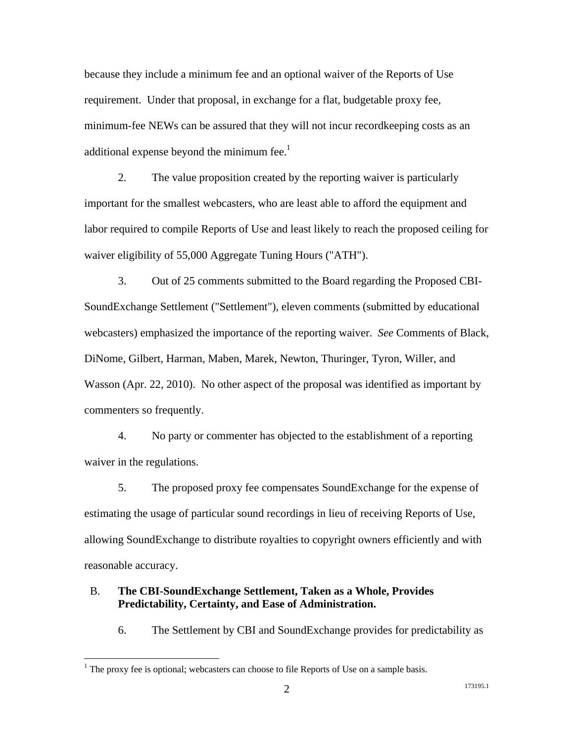because they include a minimum fee and an optional waiver of the Reports of Use requirement. Under that proposal, in exchange for a flat, budgetable proxy fee, minimum-fee NEWs can be assured that they will not incur recordkeeping costs as an additional expense beyond the minimum fee. $<sup>1</sup>$ </sup>

2. The value proposition created by the reporting waiver is particularly important for the smallest webcasters, who are least able to afford the equipment and labor required to compile Reports of Use and least likely to reach the proposed ceiling for waiver eligibility of 55,000 Aggregate Tuning Hours ("ATH").

3. Out of 25 comments submitted to the Board regarding the Proposed CBI-SoundExchange Settlement ("Settlement"), eleven comments (submitted by educational webcasters) emphasized the importance of the reporting waiver. *See* Comments of Black, DiNome, Gilbert, Harman, Maben, Marek, Newton, Thuringer, Tyron, Willer, and Wasson (Apr. 22, 2010). No other aspect of the proposal was identified as important by commenters so frequently.

4. No party or commenter has objected to the establishment of a reporting waiver in the regulations.

5. The proposed proxy fee compensates SoundExchange for the expense of estimating the usage of particular sound recordings in lieu of receiving Reports of Use, allowing SoundExchange to distribute royalties to copyright owners efficiently and with reasonable accuracy.

#### B. **The CBI-SoundExchange Settlement, Taken as a Whole, Provides Predictability, Certainty, and Ease of Administration.**

6. The Settlement by CBI and SoundExchange provides for predictability as

 $\overline{a}$ 

 $<sup>1</sup>$  The proxy fee is optional; webcasters can choose to file Reports of Use on a sample basis.</sup>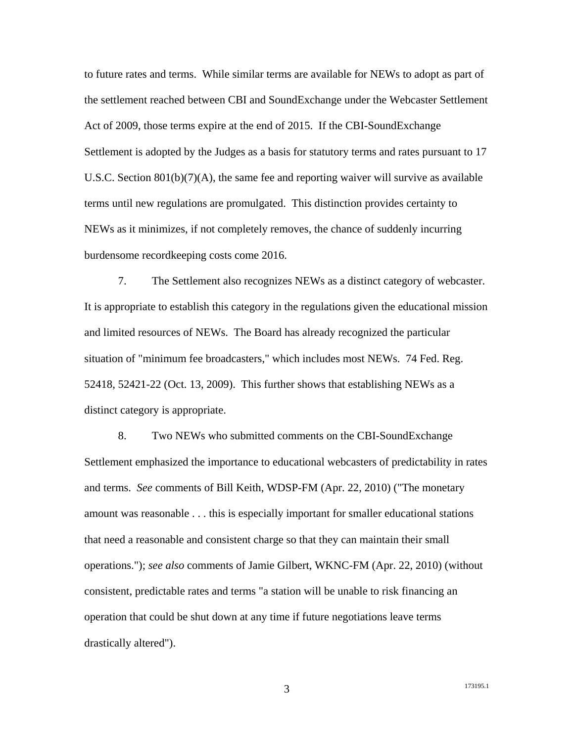to future rates and terms. While similar terms are available for NEWs to adopt as part of the settlement reached between CBI and SoundExchange under the Webcaster Settlement Act of 2009, those terms expire at the end of 2015. If the CBI-SoundExchange Settlement is adopted by the Judges as a basis for statutory terms and rates pursuant to 17 U.S.C. Section  $801(b)(7)(A)$ , the same fee and reporting waiver will survive as available terms until new regulations are promulgated. This distinction provides certainty to NEWs as it minimizes, if not completely removes, the chance of suddenly incurring burdensome recordkeeping costs come 2016.

7. The Settlement also recognizes NEWs as a distinct category of webcaster. It is appropriate to establish this category in the regulations given the educational mission and limited resources of NEWs. The Board has already recognized the particular situation of "minimum fee broadcasters," which includes most NEWs. 74 Fed. Reg. 52418, 52421-22 (Oct. 13, 2009). This further shows that establishing NEWs as a distinct category is appropriate.

8. Two NEWs who submitted comments on the CBI-SoundExchange Settlement emphasized the importance to educational webcasters of predictability in rates and terms. *See* comments of Bill Keith, WDSP-FM (Apr. 22, 2010) ("The monetary amount was reasonable . . . this is especially important for smaller educational stations that need a reasonable and consistent charge so that they can maintain their small operations."); *see also* comments of Jamie Gilbert, WKNC-FM (Apr. 22, 2010) (without consistent, predictable rates and terms "a station will be unable to risk financing an operation that could be shut down at any time if future negotiations leave terms drastically altered").

3 173195.1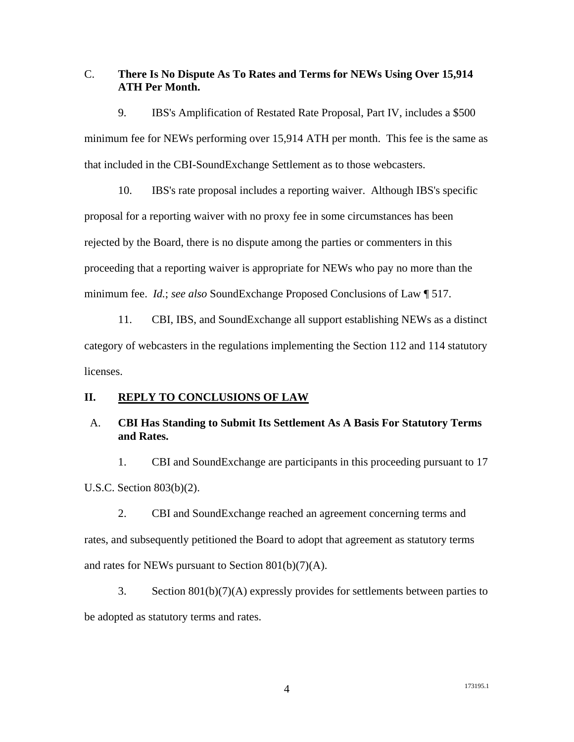### C. **There Is No Dispute As To Rates and Terms for NEWs Using Over 15,914 ATH Per Month.**

9. IBS's Amplification of Restated Rate Proposal, Part IV, includes a \$500 minimum fee for NEWs performing over 15,914 ATH per month. This fee is the same as that included in the CBI-SoundExchange Settlement as to those webcasters.

10. IBS's rate proposal includes a reporting waiver. Although IBS's specific proposal for a reporting waiver with no proxy fee in some circumstances has been rejected by the Board, there is no dispute among the parties or commenters in this proceeding that a reporting waiver is appropriate for NEWs who pay no more than the minimum fee. *Id.*; *see also* SoundExchange Proposed Conclusions of Law ¶ 517.

11. CBI, IBS, and SoundExchange all support establishing NEWs as a distinct category of webcasters in the regulations implementing the Section 112 and 114 statutory licenses.

#### **II. REPLY TO CONCLUSIONS OF LAW**

### A. **CBI Has Standing to Submit Its Settlement As A Basis For Statutory Terms and Rates.**

1. CBI and SoundExchange are participants in this proceeding pursuant to 17 U.S.C. Section 803(b)(2).

2. CBI and SoundExchange reached an agreement concerning terms and rates, and subsequently petitioned the Board to adopt that agreement as statutory terms and rates for NEWs pursuant to Section 801(b)(7)(A).

3. Section 801(b)(7)(A) expressly provides for settlements between parties to be adopted as statutory terms and rates.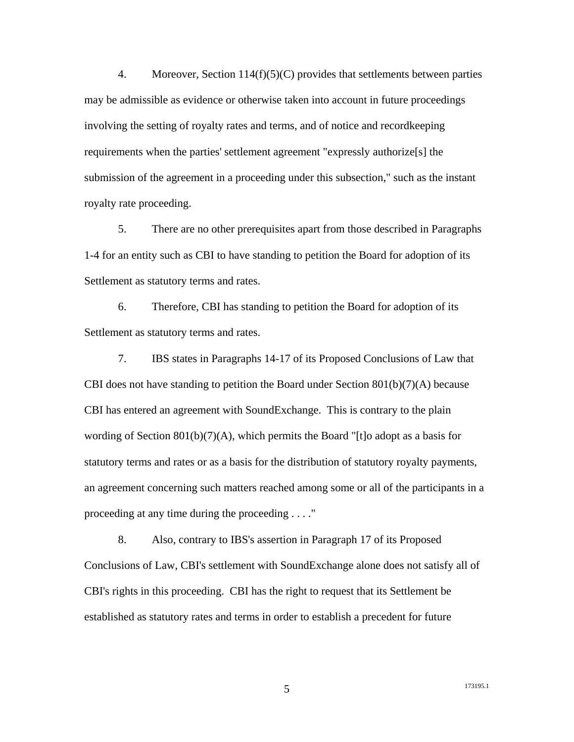4. Moreover, Section 114(f)(5)(C) provides that settlements between parties may be admissible as evidence or otherwise taken into account in future proceedings involving the setting of royalty rates and terms, and of notice and recordkeeping requirements when the parties' settlement agreement "expressly authorize[s] the submission of the agreement in a proceeding under this subsection," such as the instant royalty rate proceeding.

5. There are no other prerequisites apart from those described in Paragraphs 1-4 for an entity such as CBI to have standing to petition the Board for adoption of its Settlement as statutory terms and rates.

6. Therefore, CBI has standing to petition the Board for adoption of its Settlement as statutory terms and rates.

7. IBS states in Paragraphs 14-17 of its Proposed Conclusions of Law that CBI does not have standing to petition the Board under Section  $801(b)(7)(A)$  because CBI has entered an agreement with SoundExchange. This is contrary to the plain wording of Section 801(b)(7)(A), which permits the Board "[t]o adopt as a basis for statutory terms and rates or as a basis for the distribution of statutory royalty payments, an agreement concerning such matters reached among some or all of the participants in a proceeding at any time during the proceeding . . . ."

8. Also, contrary to IBS's assertion in Paragraph 17 of its Proposed Conclusions of Law, CBI's settlement with SoundExchange alone does not satisfy all of CBI's rights in this proceeding. CBI has the right to request that its Settlement be established as statutory rates and terms in order to establish a precedent for future

5 173195.1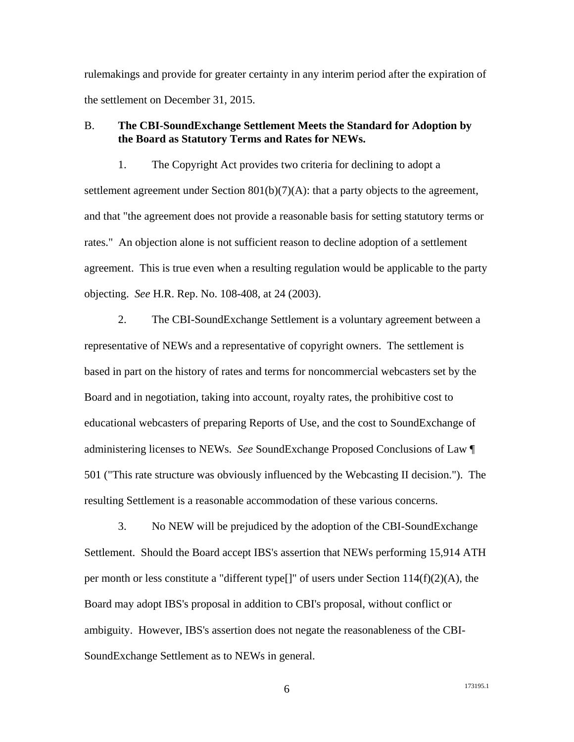rulemakings and provide for greater certainty in any interim period after the expiration of the settlement on December 31, 2015.

### B. **The CBI-SoundExchange Settlement Meets the Standard for Adoption by the Board as Statutory Terms and Rates for NEWs.**

1. The Copyright Act provides two criteria for declining to adopt a settlement agreement under Section 801(b)(7)(A): that a party objects to the agreement, and that "the agreement does not provide a reasonable basis for setting statutory terms or rates." An objection alone is not sufficient reason to decline adoption of a settlement agreement. This is true even when a resulting regulation would be applicable to the party objecting. *See* H.R. Rep. No. 108-408, at 24 (2003).

2. The CBI-SoundExchange Settlement is a voluntary agreement between a representative of NEWs and a representative of copyright owners. The settlement is based in part on the history of rates and terms for noncommercial webcasters set by the Board and in negotiation, taking into account, royalty rates, the prohibitive cost to educational webcasters of preparing Reports of Use, and the cost to SoundExchange of administering licenses to NEWs. *See* SoundExchange Proposed Conclusions of Law ¶ 501 ("This rate structure was obviously influenced by the Webcasting II decision."). The resulting Settlement is a reasonable accommodation of these various concerns.

3. No NEW will be prejudiced by the adoption of the CBI-SoundExchange Settlement. Should the Board accept IBS's assertion that NEWs performing 15,914 ATH per month or less constitute a "different type[]" of users under Section 114(f)(2)(A), the Board may adopt IBS's proposal in addition to CBI's proposal, without conflict or ambiguity. However, IBS's assertion does not negate the reasonableness of the CBI-SoundExchange Settlement as to NEWs in general.

6 173195.1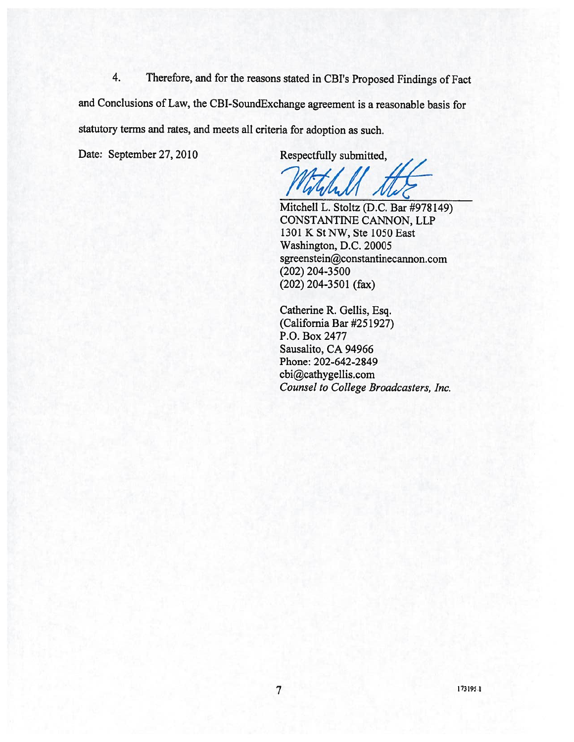Therefore, and for the reasons stated in CBI's Proposed Findings of Fact 4. and Conclusions of Law, the CBI-SoundExchange agreement is a reasonable basis for statutory terms and rates, and meets all criteria for adoption as such.

Date: September 27, 2010

Respectfully submitted,

Mitchell L. Stoltz (D.C. Bar #978149) CONSTANTINE CANNON, LLP 1301 K St NW, Ste 1050 East Washington, D.C. 20005 sgreenstein@constantinecannon.com  $(202)$  204-3500  $(202)$  204-3501 (fax)

Catherine R. Gellis, Esq. (California Bar #251927) P.O. Box 2477 Sausalito, CA 94966 Phone: 202-642-2849 cbi@cathygellis.com Counsel to College Broadcasters, Inc.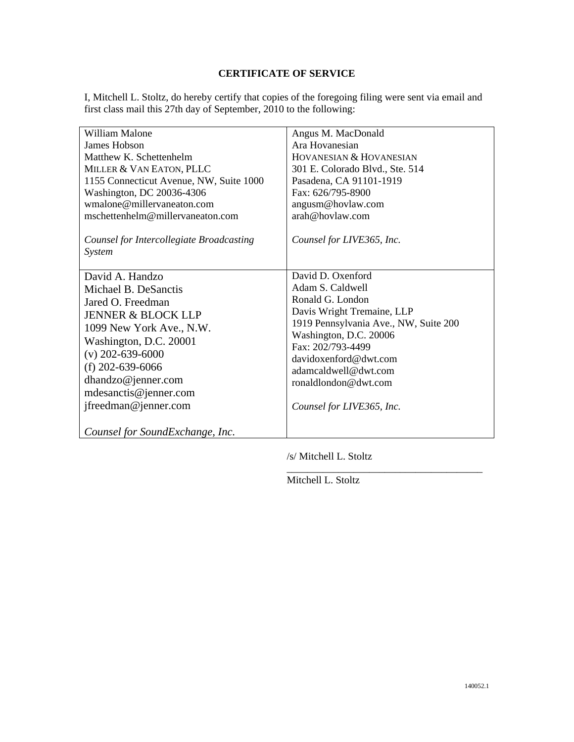## **CERTIFICATE OF SERVICE**

I, Mitchell L. Stoltz, do hereby certify that copies of the foregoing filing were sent via email and first class mail this 27th day of September, 2010 to the following:

| William Malone                                     | Angus M. MacDonald                          |
|----------------------------------------------------|---------------------------------------------|
| James Hobson                                       | Ara Hovanesian                              |
| Matthew K. Schettenhelm                            | HOVANESIAN & HOVANESIAN                     |
| MILLER & VAN EATON, PLLC                           | 301 E. Colorado Blvd., Ste. 514             |
| 1155 Connecticut Avenue, NW, Suite 1000            | Pasadena, CA 91101-1919                     |
| Washington, DC 20036-4306                          | Fax: 626/795-8900                           |
| wmalone@millervaneaton.com                         | angusm@hovlaw.com                           |
| mschettenhelm@millervaneaton.com                   | arah@hovlaw.com                             |
| Counsel for Intercollegiate Broadcasting<br>System | Counsel for LIVE365, Inc.                   |
| David A. Handzo                                    | David D. Oxenford                           |
| Michael B. DeSanctis                               | Adam S. Caldwell                            |
| Jared O. Freedman                                  | Ronald G. London                            |
| <b>JENNER &amp; BLOCK LLP</b>                      | Davis Wright Tremaine, LLP                  |
| 1099 New York Ave., N.W.                           | 1919 Pennsylvania Ave., NW, Suite 200       |
| Washington, D.C. 20001                             | Washington, D.C. 20006<br>Fax: 202/793-4499 |
| $(v)$ 202-639-6000                                 | davidoxenford@dwt.com                       |
| (f) $202 - 639 - 6066$                             | adamcaldwell@dwt.com                        |
| dhandzo@jenner.com                                 | ronaldlondon@dwt.com                        |
| mdesanctis@jenner.com                              |                                             |
| jfreedman@jenner.com                               | Counsel for LIVE365, Inc.                   |
|                                                    |                                             |
| Counsel for SoundExchange, Inc.                    |                                             |

/s/ Mitchell L. Stoltz

\_\_\_\_\_\_\_\_\_\_\_\_\_\_\_\_\_\_\_\_\_\_\_\_\_\_\_\_\_\_\_\_\_\_\_\_\_\_

Mitchell L. Stoltz